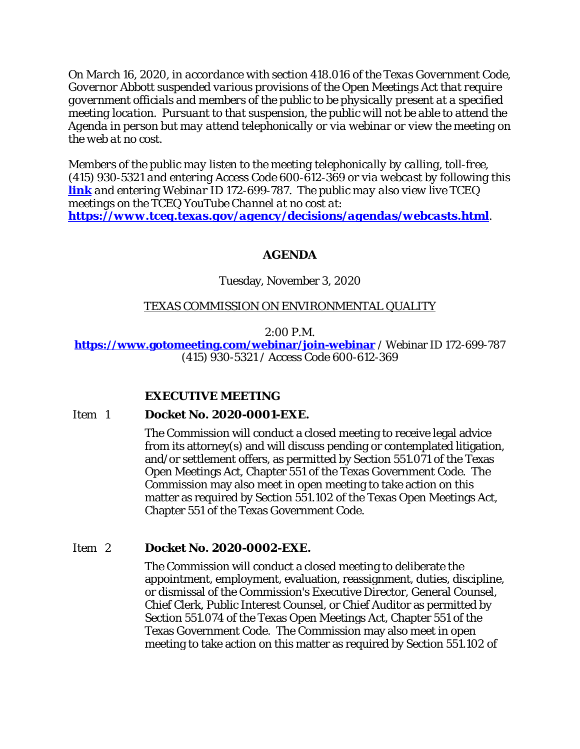*On March 16, 2020, in accordance with section 418.016 of the Texas Government Code, Governor Abbott suspended various provisions of the Open Meetings Act that require government officials and members of the public to be physically present at a specified meeting location. Pursuant to that suspension, the public will not be able to attend the Agenda in person but may attend telephonically or via webinar or view the meeting on the web at no cost.* 

*Members of the public may listen to the meeting telephonically by calling, toll-free, (415) 930-5321 and entering Access Code 600-612-369 or via webcast by following this [link](https://www.gotomeeting.com/webinar/join-webinar) and entering Webinar ID 172-699-787. The public may also view live TCEQ meetings on the TCEQ YouTube Channel at no cost at: <https://www.tceq.texas.gov/agency/decisions/agendas/webcasts.html>.* 

# **AGENDA**

# Tuesday, November 3, 2020

# TEXAS COMMISSION ON ENVIRONMENTAL QUALITY

### 2:00 P.M.

### **[https://www.gotomeeting.com/webinar/join-webinar](https://www.gotomeeting.com/webinar/join-webinar%20/)** / Webinar ID 172-699-787 (415) 930-5321 / Access Code 600-612-369

# **EXECUTIVE MEETING**

#### Item 1 **Docket No. 2020-0001-EXE.**

The Commission will conduct a closed meeting to receive legal advice from its attorney(s) and will discuss pending or contemplated litigation, and/or settlement offers, as permitted by Section 551.071 of the Texas Open Meetings Act, Chapter 551 of the Texas Government Code. The Commission may also meet in open meeting to take action on this matter as required by Section 551.102 of the Texas Open Meetings Act, Chapter 551 of the Texas Government Code.

# Item 2 **Docket No. 2020-0002-EXE.**

The Commission will conduct a closed meeting to deliberate the appointment, employment, evaluation, reassignment, duties, discipline, or dismissal of the Commission's Executive Director, General Counsel, Chief Clerk, Public Interest Counsel, or Chief Auditor as permitted by Section 551.074 of the Texas Open Meetings Act, Chapter 551 of the Texas Government Code. The Commission may also meet in open meeting to take action on this matter as required by Section 551.102 of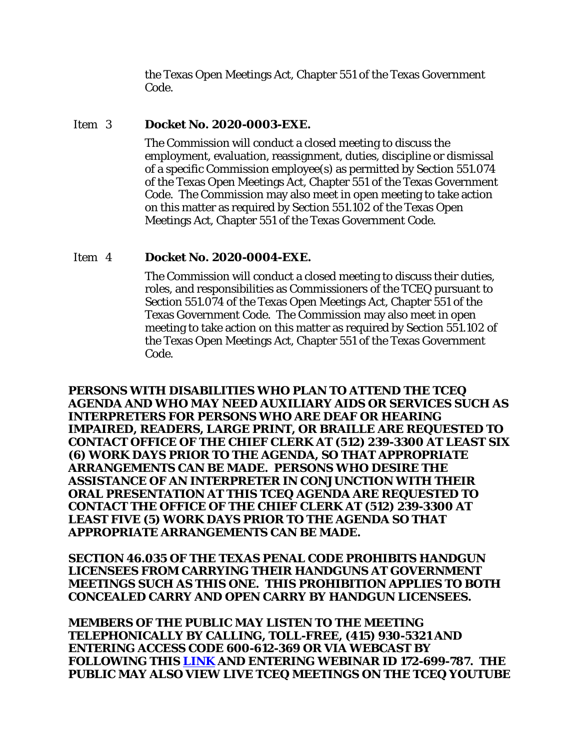the Texas Open Meetings Act, Chapter 551 of the Texas Government Code.

#### Item 3 **Docket No. 2020-0003-EXE.**

The Commission will conduct a closed meeting to discuss the employment, evaluation, reassignment, duties, discipline or dismissal of a specific Commission employee(s) as permitted by Section 551.074 of the Texas Open Meetings Act, Chapter 551 of the Texas Government Code. The Commission may also meet in open meeting to take action on this matter as required by Section 551.102 of the Texas Open Meetings Act, Chapter 551 of the Texas Government Code.

### Item 4 **Docket No. 2020-0004-EXE.**

The Commission will conduct a closed meeting to discuss their duties, roles, and responsibilities as Commissioners of the TCEQ pursuant to Section 551.074 of the Texas Open Meetings Act, Chapter 551 of the Texas Government Code. The Commission may also meet in open meeting to take action on this matter as required by Section 551.102 of the Texas Open Meetings Act, Chapter 551 of the Texas Government Code.

**PERSONS WITH DISABILITIES WHO PLAN TO ATTEND THE TCEQ AGENDA AND WHO MAY NEED AUXILIARY AIDS OR SERVICES SUCH AS INTERPRETERS FOR PERSONS WHO ARE DEAF OR HEARING IMPAIRED, READERS, LARGE PRINT, OR BRAILLE ARE REQUESTED TO CONTACT OFFICE OF THE CHIEF CLERK AT (512) 239-3300 AT LEAST SIX (6) WORK DAYS PRIOR TO THE AGENDA, SO THAT APPROPRIATE ARRANGEMENTS CAN BE MADE. PERSONS WHO DESIRE THE ASSISTANCE OF AN INTERPRETER IN CONJUNCTION WITH THEIR ORAL PRESENTATION AT THIS TCEQ AGENDA ARE REQUESTED TO CONTACT THE OFFICE OF THE CHIEF CLERK AT (512) 239-3300 AT LEAST FIVE (5) WORK DAYS PRIOR TO THE AGENDA SO THAT APPROPRIATE ARRANGEMENTS CAN BE MADE.**

**SECTION 46.035 OF THE TEXAS PENAL CODE PROHIBITS HANDGUN LICENSEES FROM CARRYING THEIR HANDGUNS AT GOVERNMENT MEETINGS SUCH AS THIS ONE. THIS PROHIBITION APPLIES TO BOTH CONCEALED CARRY AND OPEN CARRY BY HANDGUN LICENSEES.**

**MEMBERS OF THE PUBLIC MAY LISTEN TO THE MEETING TELEPHONICALLY BY CALLING, TOLL-FREE, (415) 930-5321 AND ENTERING ACCESS CODE 600-612-369 OR VIA WEBCAST BY FOLLOWING THIS [LINK](https://www.gotomeeting.com/webinar/join-webinar) AND ENTERING WEBINAR ID 172-699-787. THE PUBLIC MAY ALSO VIEW LIVE TCEQ MEETINGS ON THE TCEQ YOUTUBE**